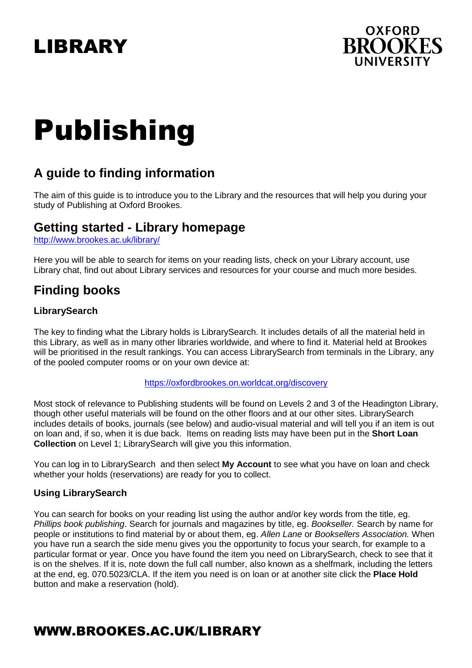## LIBRARY



# Publishing

## **A guide to finding information**

The aim of this guide is to introduce you to the Library and the resources that will help you during your study of Publishing at Oxford Brookes.

## **Getting started - Library homepage**

http://www.brookes.ac.uk/library/

Here you will be able to search for items on your reading lists, check on your Library account, use Library chat, find out about Library services and resources for your course and much more besides.

## **Finding books**

#### **LibrarySearch**

The key to finding what the Library holds is LibrarySearch. It includes details of all the material held in this Library, as well as in many other libraries worldwide, and where to find it. Material held at Brookes will be prioritised in the result rankings. You can access LibrarySearch from terminals in the Library, any of the pooled computer rooms or on your own device at:

#### https://oxfordbrookes.on.worldcat.org/discovery

Most stock of relevance to Publishing students will be found on Levels 2 and 3 of the Headington Library, though other useful materials will be found on the other floors and at our other sites. LibrarySearch includes details of books, journals (see below) and audio-visual material and will tell you if an item is out on loan and, if so, when it is due back. Items on reading lists may have been put in the **Short Loan Collection** on Level 1; LibrarySearch will give you this information.

You can log in to LibrarySearchand then select **My Account** to see what you have on loan and check whether your holds (reservations) are ready for you to collect.

#### **Using LibrarySearch**

You can search for books on your reading list using the author and/or key words from the title, eg. Phillips book publishing. Search for journals and magazines by title, eg. Bookseller. Search by name for people or institutions to find material by or about them, eg. Allen Lane or Booksellers Association. When you have run a search the side menu gives you the opportunity to focus your search, for example to a particular format or year. Once you have found the item you need on LibrarySearch, check to see that it is on the shelves. If it is, note down the full call number, also known as a shelfmark, including the letters at the end, eg. 070.5023/CLA. If the item you need is on loan or at another site click the **Place Hold** button and make a reservation (hold).

## WWW.BROOKES.AC.UK/LIBRARY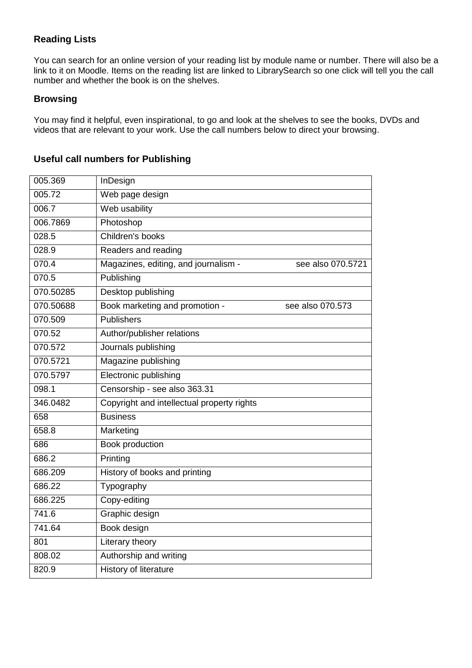#### **Reading Lists**

You can search for an online version of your reading list by module name or number. There will also be a link to it on Moodle. Items on the reading list are linked to LibrarySearch so one click will tell you the call number and whether the book is on the shelves.

#### **Browsing**

You may find it helpful, even inspirational, to go and look at the shelves to see the books, DVDs and videos that are relevant to your work. Use the call numbers below to direct your browsing.

### **Useful call numbers for Publishing**

| 005.369   | InDesign                                                  |
|-----------|-----------------------------------------------------------|
| 005.72    | Web page design                                           |
| 006.7     | Web usability                                             |
| 006.7869  | Photoshop                                                 |
| 028.5     | Children's books                                          |
| 028.9     | Readers and reading                                       |
| 070.4     | Magazines, editing, and journalism -<br>see also 070.5721 |
| 070.5     | Publishing                                                |
| 070.50285 | Desktop publishing                                        |
| 070.50688 | Book marketing and promotion -<br>see also 070.573        |
| 070.509   | <b>Publishers</b>                                         |
| 070.52    | Author/publisher relations                                |
| 070.572   | Journals publishing                                       |
| 070.5721  | Magazine publishing                                       |
| 070.5797  | Electronic publishing                                     |
| 098.1     | Censorship - see also 363.31                              |
| 346.0482  | Copyright and intellectual property rights                |
| 658       | <b>Business</b>                                           |
| 658.8     | Marketing                                                 |
| 686       | Book production                                           |
| 686.2     | Printing                                                  |
| 686.209   | History of books and printing                             |
| 686.22    | Typography                                                |
| 686.225   | Copy-editing                                              |
| 741.6     | Graphic design                                            |
| 741.64    | Book design                                               |
| 801       | Literary theory                                           |
| 808.02    | Authorship and writing                                    |
| 820.9     | History of literature                                     |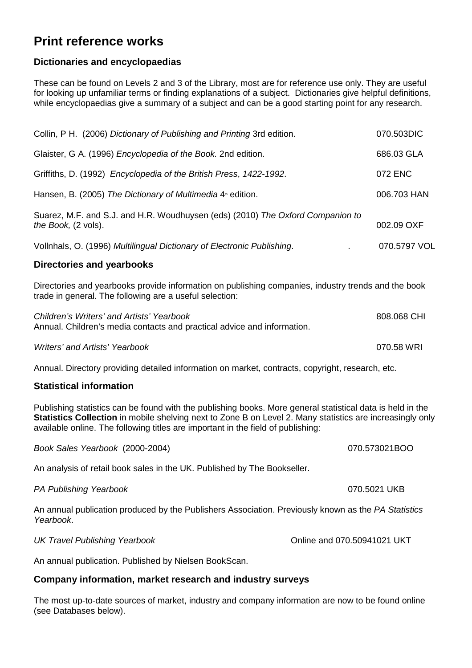## **Print reference works**

#### **Dictionaries and encyclopaedias**

These can be found on Levels 2 and 3 of the Library, most are for reference use only. They are useful for looking up unfamiliar terms or finding explanations of a subject. Dictionaries give helpful definitions, while encyclopaedias give a summary of a subject and can be a good starting point for any research.

| Collin, P H. (2006) Dictionary of Publishing and Printing 3rd edition.                                | 070.503DIC   |
|-------------------------------------------------------------------------------------------------------|--------------|
| Glaister, G A. (1996) <i>Encyclopedia of the Book.</i> 2nd edition.                                   | 686.03 GLA   |
| Griffiths, D. (1992) Encyclopedia of the British Press, 1422-1992.                                    | 072 ENC      |
| Hansen, B. (2005) The Dictionary of Multimedia 4 <sup>th</sup> edition.                               | 006.703 HAN  |
| Suarez, M.F. and S.J. and H.R. Woudhuysen (eds) (2010) The Oxford Companion to<br>the Book, (2 vols). | 002.09 OXF   |
| Vollnhals, O. (1996) Multilingual Dictionary of Electronic Publishing.                                | 070.5797 VOL |

#### **Directories and yearbooks**

Directories and yearbooks provide information on publishing companies, industry trends and the book trade in general. The following are a useful selection:

| Children's Writers' and Artists' Yearbook                               | 808.068 CHI |
|-------------------------------------------------------------------------|-------------|
| Annual. Children's media contacts and practical advice and information. |             |
|                                                                         |             |

Writers' and Artists' Yearbook 070.58 WRI

Annual. Directory providing detailed information on market, contracts, copyright, research, etc.

#### **Statistical information**

Publishing statistics can be found with the publishing books. More general statistical data is held in the **Statistics Collection** in mobile shelving next to Zone B on Level 2. Many statistics are increasingly only available online. The following titles are important in the field of publishing:

Book Sales Yearbook (2000-2004) 070.573021BOO

An analysis of retail book sales in the UK. Published by The Bookseller.

PA Publishing Yearbook 070.5021 UKB

An annual publication produced by the Publishers Association. Previously known as the PA Statistics Yearbook.

UK Travel Publishing Yearbook Online and 070.50941021 UKT

An annual publication. Published by Nielsen BookScan.

#### **Company information, market research and industry surveys**

The most up-to-date sources of market, industry and company information are now to be found online (see Databases below).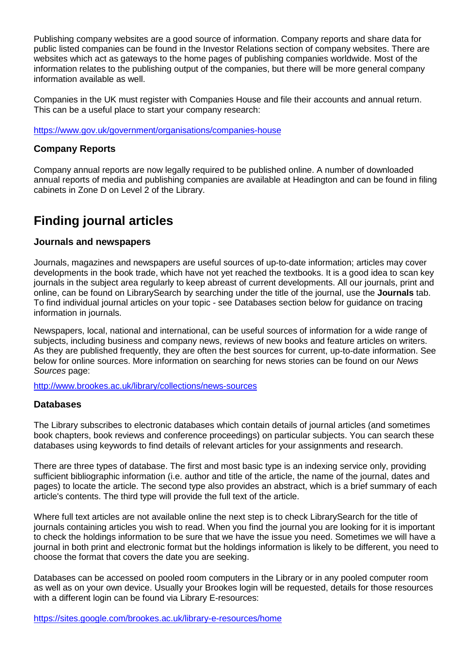Publishing company websites are a good source of information. Company reports and share data for public listed companies can be found in the Investor Relations section of company websites. There are websites which act as gateways to the home pages of publishing companies worldwide. Most of the information relates to the publishing output of the companies, but there will be more general company information available as well.

Companies in the UK must register with Companies House and file their accounts and annual return. This can be a useful place to start your company research:

https://www.gov.uk/government/organisations/companies-house

#### **Company Reports**

Company annual reports are now legally required to be published online. A number of downloaded annual reports of media and publishing companies are available at Headington and can be found in filing cabinets in Zone D on Level 2 of the Library.

## **Finding journal articles**

#### **Journals and newspapers**

Journals, magazines and newspapers are useful sources of up-to-date information; articles may cover developments in the book trade, which have not yet reached the textbooks. It is a good idea to scan key journals in the subject area regularly to keep abreast of current developments. All our journals, print and online, can be found on LibrarySearch by searching under the title of the journal, use the **Journals** tab. To find individual journal articles on your topic - see Databases section below for guidance on tracing information in journals.

Newspapers, local, national and international, can be useful sources of information for a wide range of subjects, including business and company news, reviews of new books and feature articles on writers. As they are published frequently, they are often the best sources for current, up-to-date information. See below for online sources. More information on searching for news stories can be found on our News Sources page:

http://www.brookes.ac.uk/library/collections/news-sources

#### **Databases**

The Library subscribes to electronic databases which contain details of journal articles (and sometimes book chapters, book reviews and conference proceedings) on particular subjects. You can search these databases using keywords to find details of relevant articles for your assignments and research.

There are three types of database. The first and most basic type is an indexing service only, providing sufficient bibliographic information (i.e. author and title of the article, the name of the journal, dates and pages) to locate the article. The second type also provides an abstract, which is a brief summary of each article's contents. The third type will provide the full text of the article.

Where full text articles are not available online the next step is to check LibrarySearch for the title of journals containing articles you wish to read. When you find the journal you are looking for it is important to check the holdings information to be sure that we have the issue you need. Sometimes we will have a journal in both print and electronic format but the holdings information is likely to be different, you need to choose the format that covers the date you are seeking.

Databases can be accessed on pooled room computers in the Library or in any pooled computer room as well as on your own device. Usually your Brookes login will be requested, details for those resources with a different login can be found via Library E-resources:

https://sites.google.com/brookes.ac.uk/library-e-resources/home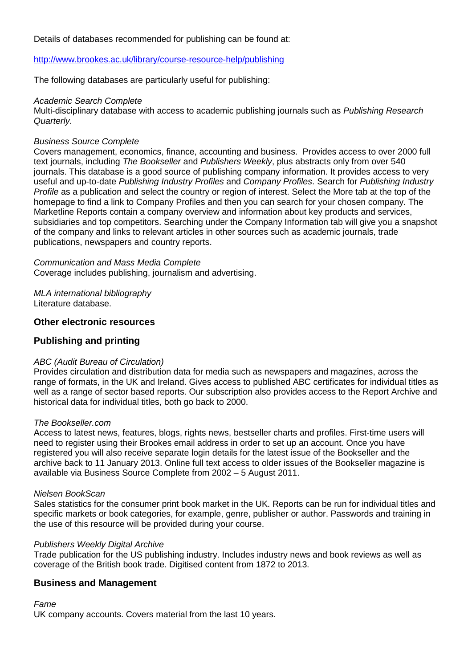#### Details of databases recommended for publishing can be found at:

#### http://www.brookes.ac.uk/library/course-resource-help/publishing

The following databases are particularly useful for publishing:

#### Academic Search Complete

Multi-disciplinary database with access to academic publishing journals such as Publishing Research Quarterly.

#### Business Source Complete

Covers management, economics, finance, accounting and business. Provides access to over 2000 full text journals, including The Bookseller and Publishers Weekly, plus abstracts only from over 540 journals. This database is a good source of publishing company information. It provides access to very useful and up-to-date Publishing Industry Profiles and Company Profiles. Search for Publishing Industry Profile as a publication and select the country or region of interest. Select the More tab at the top of the homepage to find a link to Company Profiles and then you can search for your chosen company. The Marketline Reports contain a company overview and information about key products and services, subsidiaries and top competitors. Searching under the Company Information tab will give you a snapshot of the company and links to relevant articles in other sources such as academic journals, trade publications, newspapers and country reports.

Communication and Mass Media Complete Coverage includes publishing, journalism and advertising.

MLA international bibliography Literature database.

#### **Other electronic resources**

#### **Publishing and printing**

#### ABC (Audit Bureau of Circulation)

Provides circulation and distribution data for media such as newspapers and magazines, across the range of formats, in the UK and Ireland. Gives access to published ABC certificates for individual titles as well as a range of sector based reports. Our subscription also provides access to the Report Archive and historical data for individual titles, both go back to 2000.

#### The Bookseller.com

Access to latest news, features, blogs, rights news, bestseller charts and profiles. First-time users will need to register using their Brookes email address in order to set up an account. Once you have registered you will also receive separate login details for the latest issue of the Bookseller and the archive back to 11 January 2013. Online full text access to older issues of the Bookseller magazine is available via Business Source Complete from 2002 – 5 August 2011.

#### Nielsen BookScan

Sales statistics for the consumer print book market in the UK. Reports can be run for individual titles and specific markets or book categories, for example, genre, publisher or author. Passwords and training in the use of this resource will be provided during your course.

#### Publishers Weekly Digital Archive

Trade publication for the US publishing industry. Includes industry news and book reviews as well as coverage of the British book trade. Digitised content from 1872 to 2013.

#### **Business and Management**

Fame

UK company accounts. Covers material from the last 10 years.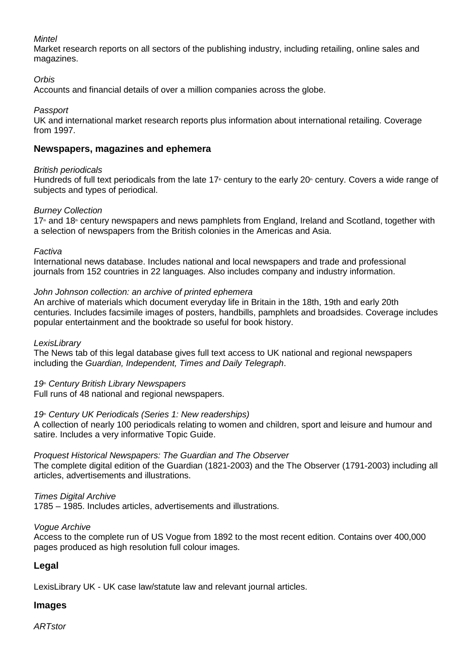#### **Mintel**

Market research reports on all sectors of the publishing industry, including retailing, online sales and magazines.

#### **Orbis**

Accounts and financial details of over a million companies across the globe.

Passport

UK and international market research reports plus information about international retailing. Coverage from 1997.

#### **Newspapers, magazines and ephemera**

#### British periodicals

Hundreds of full text periodicals from the late 17<sup>th</sup> century to the early 20<sup>th</sup> century. Covers a wide range of subjects and types of periodical.

#### Burney Collection

17<sup>th</sup> and 18<sup>th</sup> century newspapers and news pamphlets from England, Ireland and Scotland, together with a selection of newspapers from the British colonies in the Americas and Asia.

#### Factiva

International news database. Includes national and local newspapers and trade and professional journals from 152 countries in 22 languages. Also includes company and industry information.

#### John Johnson collection: an archive of printed ephemera

An archive of materials which document everyday life in Britain in the 18th, 19th and early 20th centuries. Includes facsimile images of posters, handbills, pamphlets and broadsides. Coverage includes popular entertainment and the booktrade so useful for book history.

#### **LexisLibrary**

The News tab of this legal database gives full text access to UK national and regional newspapers including the Guardian, Independent, Times and Daily Telegraph.

19<sup>th</sup> Century British Library Newspapers

Full runs of 48 national and regional newspapers.

#### 19<sup>th</sup> Century UK Periodicals (Series 1: New readerships)

A collection of nearly 100 periodicals relating to women and children, sport and leisure and humour and satire. Includes a very informative Topic Guide.

#### Proquest Historical Newspapers: The Guardian and The Observer

The complete digital edition of the Guardian (1821-2003) and the The Observer (1791-2003) including all articles, advertisements and illustrations.

#### **Times Digital Archive**

1785 – 1985. Includes articles, advertisements and illustrations.

#### Vogue Archive

Access to the complete run of US Vogue from 1892 to the most recent edition. Contains over 400,000 pages produced as high resolution full colour images.

#### **Legal**

LexisLibrary UK - UK case law/statute law and relevant journal articles.

#### **Images**

**ARTstor**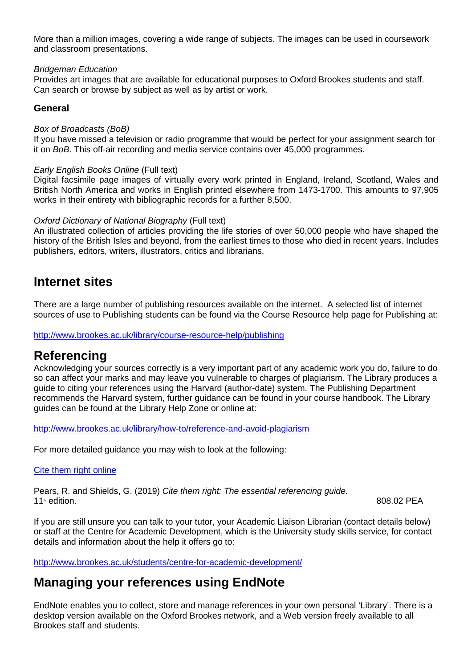More than a million images, covering a wide range of subjects. The images can be used in coursework and classroom presentations.

#### Bridgeman Education

Provides art images that are available for educational purposes to Oxford Brookes students and staff. Can search or browse by subject as well as by artist or work.

#### **General**

#### Box of Broadcasts (BoB)

If you have missed a television or radio programme that would be perfect for your assignment search for it on BoB. This off-air recording and media service contains over 45,000 programmes.

#### Early English Books Online (Full text)

Digital facsimile page images of virtually every work printed in England, Ireland, Scotland, Wales and British North America and works in English printed elsewhere from 1473-1700. This amounts to 97,905 works in their entirety with bibliographic records for a further 8,500.

#### Oxford Dictionary of National Biography (Full text)

An illustrated collection of articles providing the life stories of over 50,000 people who have shaped the history of the British Isles and beyond, from the earliest times to those who died in recent years. Includes publishers, editors, writers, illustrators, critics and librarians.

## **Internet sites**

There are a large number of publishing resources available on the internet. A selected list of internet sources of use to Publishing students can be found via the Course Resource help page for Publishing at:

http://www.brookes.ac.uk/library/course-resource-help/publishing

## **Referencing**

Acknowledging your sources correctly is a very important part of any academic work you do, failure to do so can affect your marks and may leave you vulnerable to charges of plagiarism. The Library produces a guide to citing your references using the Harvard (author-date) system. The Publishing Department recommends the Harvard system, further guidance can be found in your course handbook. The Library guides can be found at the Library Help Zone or online at:

http://www.brookes.ac.uk/library/how-to/reference-and-avoid-plagiarism

For more detailed guidance you may wish to look at the following:

#### Cite them right online

Pears, R. and Shields, G. (2019) Cite them right: The essential referencing guide.<br>11<sup>®</sup> edition  $11<sup>th</sup>$  edition. 808.02 PEA

If you are still unsure you can talk to your tutor, your Academic Liaison Librarian (contact details below) or staff at the Centre for Academic Development, which is the University study skills service, for contact details and information about the help it offers go to:

http://www.brookes.ac.uk/students/centre-for-academic-development/

## **Managing your references using EndNote**

EndNote enables you to collect, store and manage references in your own personal 'Library'. There is a desktop version available on the Oxford Brookes network, and a Web version freely available to all Brookes staff and students.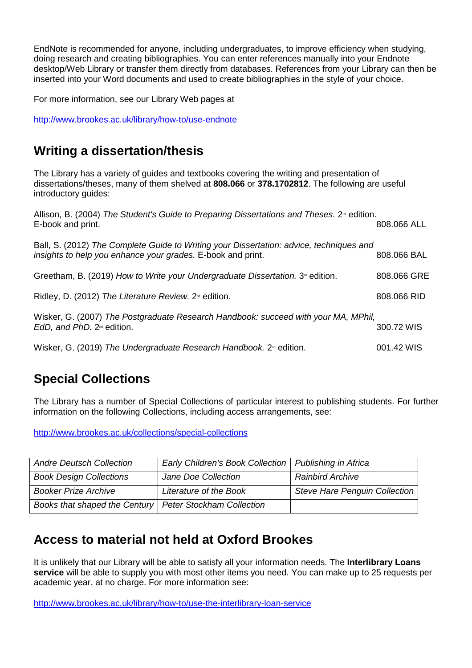EndNote is recommended for anyone, including undergraduates, to improve efficiency when studying, doing research and creating bibliographies. You can enter references manually into your Endnote desktop/Web Library or transfer them directly from databases. References from your Library can then be inserted into your Word documents and used to create bibliographies in the style of your choice.

For more information, see our Library Web pages at

http://www.brookes.ac.uk/library/how-to/use-endnote

## **Writing a dissertation/thesis**

The Library has a variety of guides and textbooks covering the writing and presentation of dissertations/theses, many of them shelved at **808.066** or **378.1702812**. The following are useful introductory guides:

| Allison, B. (2004) The Student's Guide to Preparing Dissertations and Theses. 2 <sup>∞</sup> edition.<br>E-book and print.                             | 808.066 ALL |
|--------------------------------------------------------------------------------------------------------------------------------------------------------|-------------|
| Ball, S. (2012) The Complete Guide to Writing your Dissertation: advice, techniques and<br>insights to help you enhance your grades. E-book and print. | 808.066 BAL |
| Greetham, B. (2019) How to Write your Undergraduate Dissertation. 3 <sup>®</sup> edition.                                                              | 808.066 GRE |
| Ridley, D. (2012) The Literature Review. $2^{\omega}$ edition.                                                                                         | 808.066 RID |
| Wisker, G. (2007) The Postgraduate Research Handbook: succeed with your MA, MPhil,<br>EdD, and PhD. $2^{\omega}$ edition.                              | 300.72 WIS  |
| Wisker, G. (2019) The Undergraduate Research Handbook. 2 <sup>®</sup> edition.                                                                         | 001.42 WIS  |

## **Special Collections**

The Library has a number of Special Collections of particular interest to publishing students. For further information on the following Collections, including access arrangements, see:

http://www.brookes.ac.uk/collections/special-collections

| <b>Andre Deutsch Collection</b>                           | Early Children's Book Collection   Publishing in Africa |                               |
|-----------------------------------------------------------|---------------------------------------------------------|-------------------------------|
| <b>Book Design Collections</b>                            | Jane Doe Collection                                     | <b>Rainbird Archive</b>       |
| <b>Booker Prize Archive</b>                               | Literature of the Book                                  | Steve Hare Penguin Collection |
| Books that shaped the Century   Peter Stockham Collection |                                                         |                               |

## **Access to material not held at Oxford Brookes**

It is unlikely that our Library will be able to satisfy all your information needs. The **Interlibrary Loans service** will be able to supply you with most other items you need. You can make up to 25 requests per academic year, at no charge. For more information see:

http://www.brookes.ac.uk/library/how-to/use-the-interlibrary-loan-service